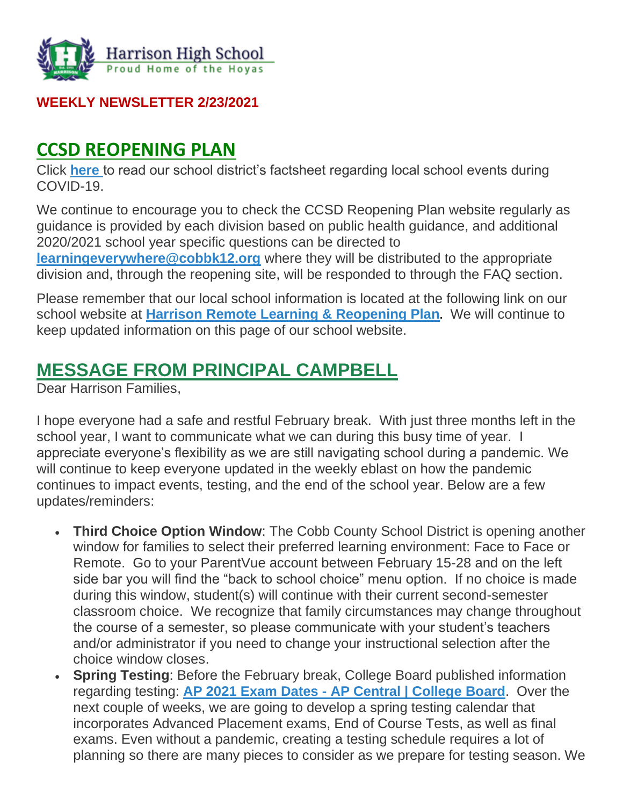

#### **WEEKLY NEWSLETTER 2/23/2021**

# **CCSD REOPENING PLAN**

Click **[here](https://infogram.com/1pdp9rmyev5md2tmp309j9mjjwbkgmx66km?live)** to read our school district's factsheet regarding local school events during COVID-19.

We continue to encourage you to check the CCSD Reopening Plan website regularly as guidance is provided by each division based on public health guidance, and additional 2020/2021 school year specific questions can be directed to **[learningeverywhere@cobbk12.org](mailto:learningeverywhere@cobbk12.org)** where they will be distributed to the appropriate division and, through the reopening site, will be responded to through the FAQ section.

Please remember that our local school information is located at the following link on our school website at **[Harrison Remote Learning & Reopening Plan](http://www.harrisonhigh.org/Remote-Learning-Information).** We will continue to keep updated information on this page of our school website.

# **MESSAGE FROM PRINCIPAL CAMPBELL**

Dear Harrison Families,

I hope everyone had a safe and restful February break. With just three months left in the school year, I want to communicate what we can during this busy time of year. I appreciate everyone's flexibility as we are still navigating school during a pandemic. We will continue to keep everyone updated in the weekly eblast on how the pandemic continues to impact events, testing, and the end of the school year. Below are a few updates/reminders:

- **Third Choice Option Window**: The Cobb County School District is opening another window for families to select their preferred learning environment: Face to Face or Remote. Go to your ParentVue account between February 15-28 and on the left side bar you will find the "back to school choice" menu option. If no choice is made during this window, student(s) will continue with their current second-semester classroom choice. We recognize that family circumstances may change throughout the course of a semester, so please communicate with your student's teachers and/or administrator if you need to change your instructional selection after the choice window closes.
- **Spring Testing**: Before the February break, College Board published information regarding testing: **AP 2021 Exam Dates - [AP Central | College Board](https://apcentral.collegeboard.org/exam-administration-ordering-scores/exam-dates?SFMC_cid=EM439162-&rid=47187941)**. Over the next couple of weeks, we are going to develop a spring testing calendar that incorporates Advanced Placement exams, End of Course Tests, as well as final exams. Even without a pandemic, creating a testing schedule requires a lot of planning so there are many pieces to consider as we prepare for testing season. We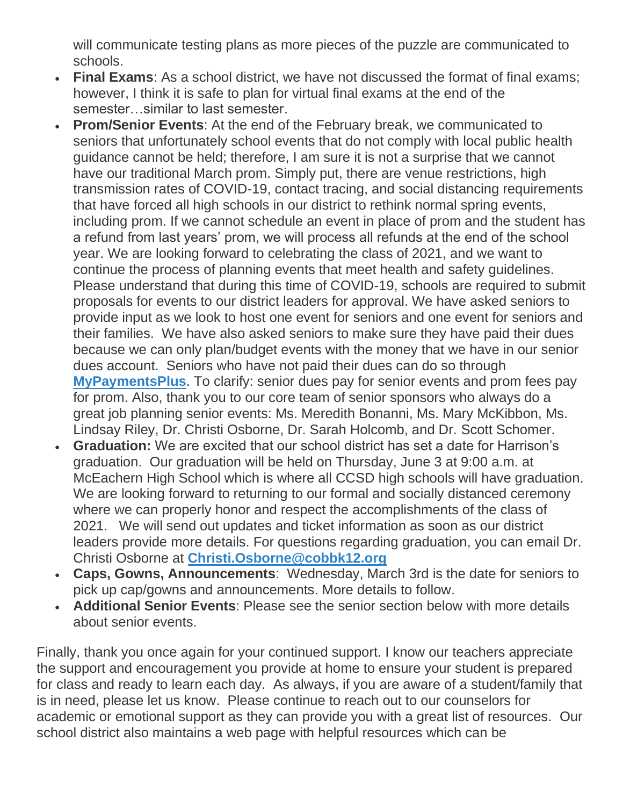will communicate testing plans as more pieces of the puzzle are communicated to schools.

- **Final Exams:** As a school district, we have not discussed the format of final exams; however, I think it is safe to plan for virtual final exams at the end of the semester…similar to last semester.
- **Prom/Senior Events**: At the end of the February break, we communicated to seniors that unfortunately school events that do not comply with local public health guidance cannot be held; therefore, I am sure it is not a surprise that we cannot have our traditional March prom. Simply put, there are venue restrictions, high transmission rates of COVID-19, contact tracing, and social distancing requirements that have forced all high schools in our district to rethink normal spring events, including prom. If we cannot schedule an event in place of prom and the student has a refund from last years' prom, we will process all refunds at the end of the school year. We are looking forward to celebrating the class of 2021, and we want to continue the process of planning events that meet health and safety guidelines. Please understand that during this time of COVID-19, schools are required to submit proposals for events to our district leaders for approval. We have asked seniors to provide input as we look to host one event for seniors and one event for seniors and their families. We have also asked seniors to make sure they have paid their dues because we can only plan/budget events with the money that we have in our senior dues account. Seniors who have not paid their dues can do so through **[MyPaymentsPlus](https://www.mypaymentsplus.com/welcome)**. To clarify: senior dues pay for senior events and prom fees pay for prom. Also, thank you to our core team of senior sponsors who always do a great job planning senior events: Ms. Meredith Bonanni, Ms. Mary McKibbon, Ms. Lindsay Riley, Dr. Christi Osborne, Dr. Sarah Holcomb, and Dr. Scott Schomer.
- **Graduation:** We are excited that our school district has set a date for Harrison's graduation. Our graduation will be held on Thursday, June 3 at 9:00 a.m. at McEachern High School which is where all CCSD high schools will have graduation. We are looking forward to returning to our formal and socially distanced ceremony where we can properly honor and respect the accomplishments of the class of 2021. We will send out updates and ticket information as soon as our district leaders provide more details. For questions regarding graduation, you can email Dr. Christi Osborne at **[Christi.Osborne@cobbk12.org](mailto:Christi.Osborne@cobbk12.org)**
- **Caps, Gowns, Announcements**: Wednesday, March 3rd is the date for seniors to pick up cap/gowns and announcements. More details to follow.
- **Additional Senior Events**: Please see the senior section below with more details about senior events.

Finally, thank you once again for your continued support. I know our teachers appreciate the support and encouragement you provide at home to ensure your student is prepared for class and ready to learn each day. As always, if you are aware of a student/family that is in need, please let us know. Please continue to reach out to our counselors for academic or emotional support as they can provide you with a great list of resources. Our school district also maintains a web page with helpful resources which can be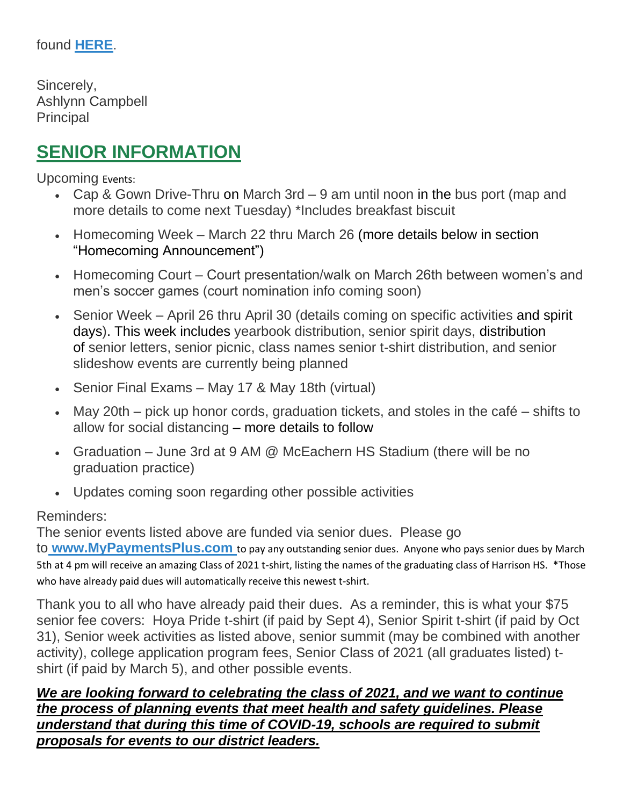Sincerely, Ashlynn Campbell **Principal** 

# **SENIOR INFORMATION**

Upcoming Events:

- Cap & Gown Drive-Thru on March 3rd 9 am until noon in the bus port (map and more details to come next Tuesday) \*Includes breakfast biscuit
- Homecoming Week March 22 thru March 26 (more details below in section "Homecoming Announcement")
- Homecoming Court Court presentation/walk on March 26th between women's and men's soccer games (court nomination info coming soon)
- Senior Week April 26 thru April 30 (details coming on specific activities and spirit days). This week includes yearbook distribution, senior spirit days, distribution of senior letters, senior picnic, class names senior t-shirt distribution, and senior slideshow events are currently being planned
- Senior Final Exams May 17 & May 18th (virtual)
- May 20th pick up honor cords, graduation tickets, and stoles in the café shifts to allow for social distancing – more details to follow
- Graduation June 3rd at 9 AM @ McEachern HS Stadium (there will be no graduation practice)
- Updates coming soon regarding other possible activities

#### Reminders:

The senior events listed above are funded via senior dues. Please go

to **[www.MyPaymentsPlus.com](https://www.mypaymentsplus.com/welcome)** to pay any outstanding senior dues. Anyone who pays senior dues by March 5th at 4 pm will receive an amazing Class of 2021 t-shirt, listing the names of the graduating class of Harrison HS. \*Those who have already paid dues will automatically receive this newest t-shirt.

Thank you to all who have already paid their dues. As a reminder, this is what your \$75 senior fee covers: Hoya Pride t-shirt (if paid by Sept 4), Senior Spirit t-shirt (if paid by Oct 31), Senior week activities as listed above, senior summit (may be combined with another activity), college application program fees, Senior Class of 2021 (all graduates listed) tshirt (if paid by March 5), and other possible events.

#### *We are looking forward to celebrating the class of 2021, and we want to continue the process of planning events that meet health and safety guidelines. Please understand that during this time of COVID-19, schools are required to submit proposals for events to our district leaders.*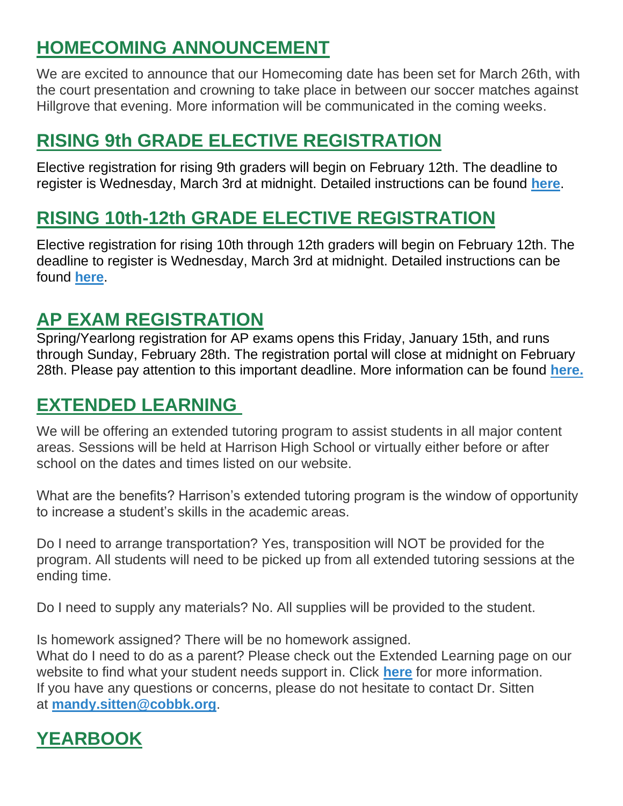# **HOMECOMING ANNOUNCEMENT**

We are excited to announce that our Homecoming date has been set for March 26th, with the court presentation and crowning to take place in between our soccer matches against Hillgrove that evening. More information will be communicated in the coming weeks.

# **RISING 9th GRADE ELECTIVE REGISTRATION**

Elective registration for rising 9th graders will begin on February 12th. The deadline to register is Wednesday, March 3rd at midnight. Detailed instructions can be found **[here](https://cobbk12org-my.sharepoint.com/:b:/g/personal/lucia_poole_cobbk12_org/EbcMCIo9PZlGo552wDBLznABss7orLhcGKkqaYVgrRDbMg?e=LnEHju)**.

# **RISING 10th-12th GRADE ELECTIVE REGISTRATION**

Elective registration for rising 10th through 12th graders will begin on February 12th. The deadline to register is Wednesday, March 3rd at midnight. Detailed instructions can be found **[here](https://cobbk12org-my.sharepoint.com/:b:/g/personal/lucia_poole_cobbk12_org/EYfiEw_Pzp1JibPvq0pWPSUBdIOipbIWo3qRZYQR-XGSDw?e=4FkxdN)**.

# **AP EXAM REGISTRATION**

Spring/Yearlong registration for AP exams opens this Friday, January 15th, and runs through Sunday, February 28th. The registration portal will close at midnight on February 28th. Please pay attention to this important deadline. More information can be found **[here.](https://cobbk12org-my.sharepoint.com/:b:/g/personal/lucia_poole_cobbk12_org/EUR7QnkZa9VHs7epS90zxR4Bg_yQembiM6_UetyqbKoLGQ?e=af3Ra6)**

# **EXTENDED LEARNING**

We will be offering an extended tutoring program to assist students in all major content areas. Sessions will be held at Harrison High School or virtually either before or after school on the dates and times listed on our website.

What are the benefits? Harrison's extended tutoring program is the window of opportunity to increase a student's skills in the academic areas.

Do I need to arrange transportation? Yes, transposition will NOT be provided for the program. All students will need to be picked up from all extended tutoring sessions at the ending time.

Do I need to supply any materials? No. All supplies will be provided to the student.

Is homework assigned? There will be no homework assigned.

What do I need to do as a parent? Please check out the Extended Learning page on our website to find what your student needs support in. Click **[here](http://www.cobblearning.net/msitten2212/)** for more information. If you have any questions or concerns, please do not hesitate to contact Dr. Sitten at **[mandy.sitten@cobbk.org](mailto:mandy.sitten@cobbk.org)**.

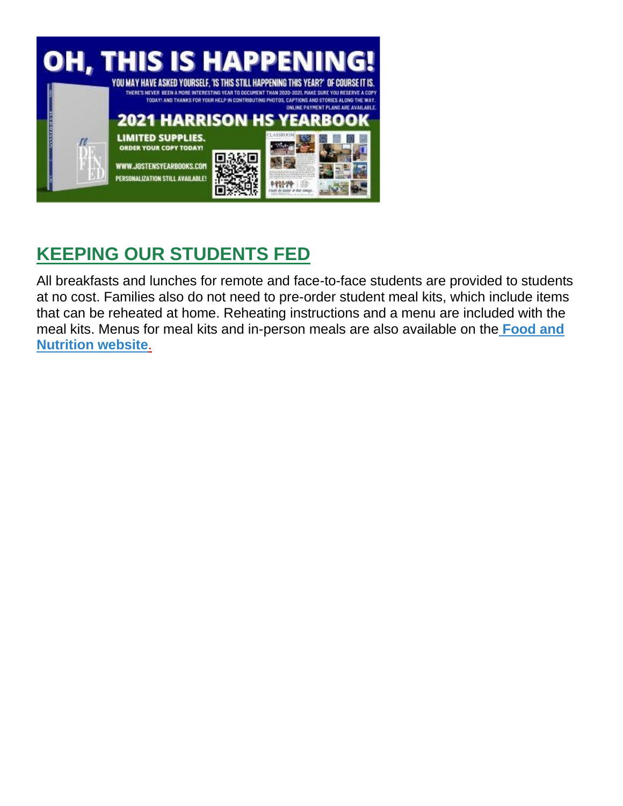

# **KEEPING OUR STUDENTS FED**

All breakfasts and lunches for remote and face-to-face students are provided to students at no cost. Families also do not need to pre-order student meal kits, which include items that can be reheated at home. Reheating instructions and a menu are included with the meal kits. Menus for meal kits and in-person meals are also available on th[e](http://info.cobbk12.org/centraloffice/foodservices/indexMenus.aspx) **[Food and](http://info.cobbk12.org/centraloffice/foodservices/indexMenus.aspx) [Nutrition website](http://info.cobbk12.org/centraloffice/foodservices/indexMenus.aspx)**[.](http://info.cobbk12.org/centraloffice/foodservices/indexMenus.aspx)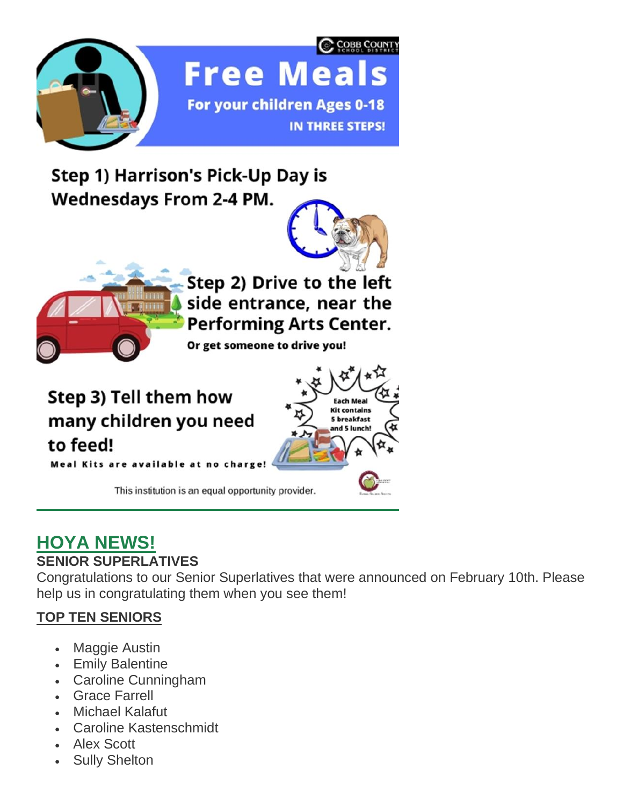

Step 1) Harrison's Pick-Up Day is **Wednesdays From 2-4 PM.** 





Step 2) Drive to the left side entrance, near the **Performing Arts Center.** 

Or get someone to drive you!

Step 3) Tell them how many children you need to feed! **Meal Kits are available** 



This institution is an equal opportunity provider.

# **HOYA NEWS!**

# **SENIOR SUPERLATIVES**

Congratulations to our Senior Superlatives that were announced on February 10th. Please help us in congratulating them when you see them!

## **TOP TEN SENIORS**

- Maggie Austin
- Emily Balentine
- Caroline Cunningham
- Grace Farrell
- Michael Kalafut
- Caroline Kastenschmidt
- Alex Scott
- **Sully Shelton**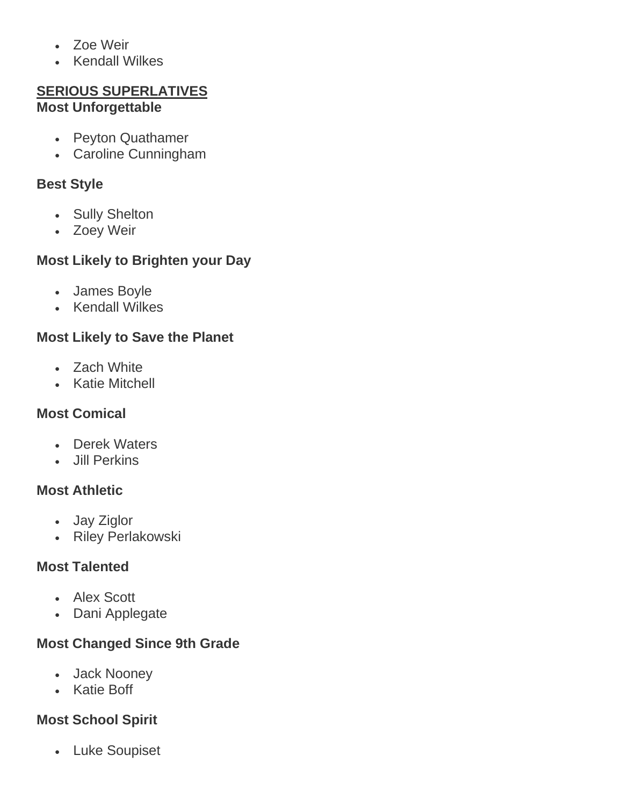- Zoe Weir
- Kendall Wilkes

#### **SERIOUS SUPERLATIVES Most Unforgettable**

- Peyton Quathamer
- Caroline Cunningham

#### **Best Style**

- Sully Shelton
- Zoey Weir

## **Most Likely to Brighten your Day**

- James Boyle
- Kendall Wilkes

#### **Most Likely to Save the Planet**

- Zach White
- Katie Mitchell

## **Most Comical**

- Derek Waters
- Jill Perkins

#### **Most Athletic**

- Jay Ziglor
- Riley Perlakowski

## **Most Talented**

- Alex Scott
- Dani Applegate

## **Most Changed Since 9th Grade**

- Jack Nooney
- Katie Boff

## **Most School Spirit**

• Luke Soupiset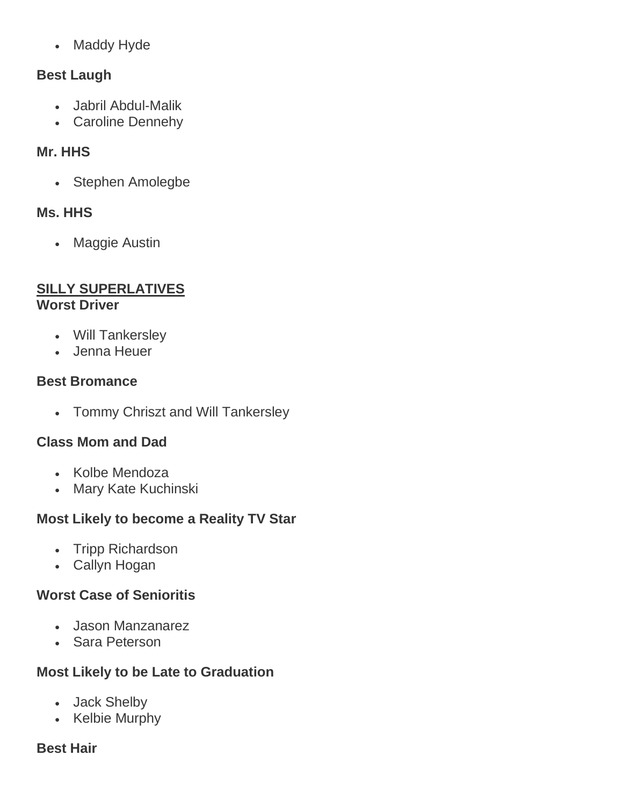• Maddy Hyde

#### **Best Laugh**

- Jabril Abdul-Malik
- Caroline Dennehy

#### **Mr. HHS**

• Stephen Amolegbe

#### **Ms. HHS**

• Maggie Austin

#### **SILLY SUPERLATIVES Worst Driver**

- Will Tankersley
- Jenna Heuer

#### **Best Bromance**

• Tommy Chriszt and Will Tankersley

## **Class Mom and Dad**

- Kolbe Mendoza
- Mary Kate Kuchinski

## **Most Likely to become a Reality TV Star**

- Tripp Richardson
- Callyn Hogan

## **Worst Case of Senioritis**

- Jason Manzanarez
- Sara Peterson

## **Most Likely to be Late to Graduation**

- Jack Shelby
- Kelbie Murphy

#### **Best Hair**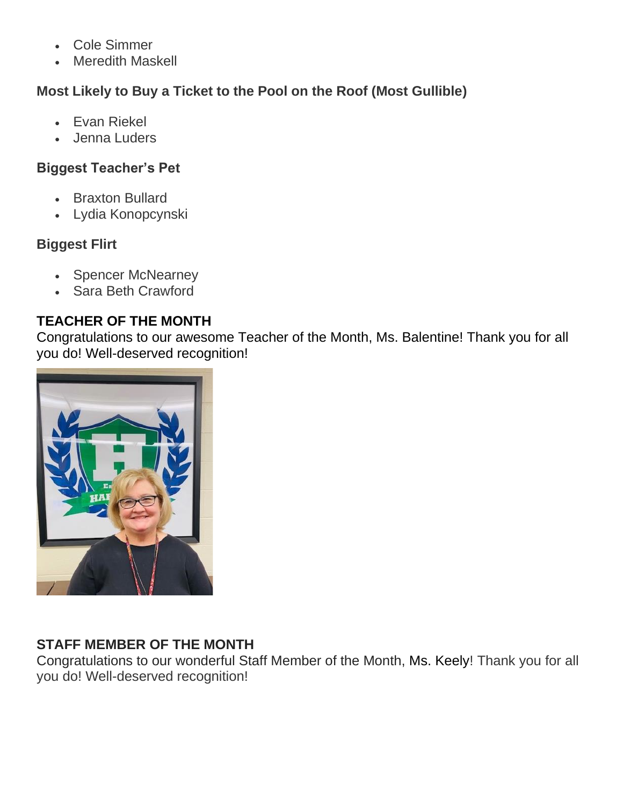- Cole Simmer
- **Meredith Maskell**

# **Most Likely to Buy a Ticket to the Pool on the Roof (Most Gullible)**

- Evan Riekel
- Jenna Luders

#### **Biggest Teacher's Pet**

- Braxton Bullard
- Lydia Konopcynski

## **Biggest Flirt**

- Spencer McNearney
- Sara Beth Crawford

## **TEACHER OF THE MONTH**

Congratulations to our awesome Teacher of the Month, Ms. Balentine! Thank you for all you do! Well-deserved recognition!



## **STAFF MEMBER OF THE MONTH**

Congratulations to our wonderful Staff Member of the Month, Ms. Keely! Thank you for all you do! Well-deserved recognition!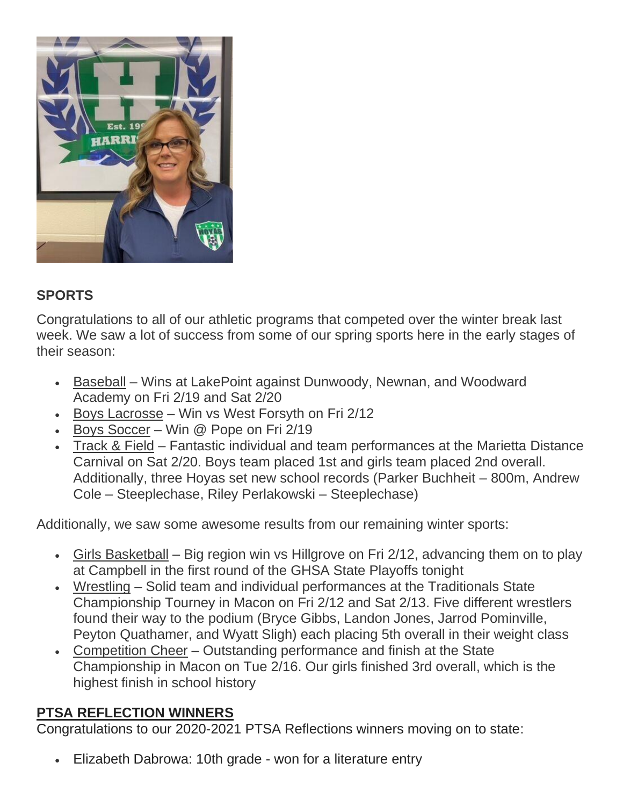

#### **SPORTS**

Congratulations to all of our athletic programs that competed over the winter break last week. We saw a lot of success from some of our spring sports here in the early stages of their season:

- Baseball Wins at LakePoint against Dunwoody, Newnan, and Woodward Academy on Fri 2/19 and Sat 2/20
- Boys Lacrosse Win vs West Forsyth on Fri 2/12
- Boys Soccer Win @ Pope on Fri 2/19
- Track & Field Fantastic individual and team performances at the Marietta Distance Carnival on Sat 2/20. Boys team placed 1st and girls team placed 2nd overall. Additionally, three Hoyas set new school records (Parker Buchheit – 800m, Andrew Cole – Steeplechase, Riley Perlakowski – Steeplechase)

Additionally, we saw some awesome results from our remaining winter sports:

- Girls Basketball Big region win vs Hillgrove on Fri 2/12, advancing them on to play at Campbell in the first round of the GHSA State Playoffs tonight
- Wrestling Solid team and individual performances at the Traditionals State Championship Tourney in Macon on Fri 2/12 and Sat 2/13. Five different wrestlers found their way to the podium (Bryce Gibbs, Landon Jones, Jarrod Pominville, Peyton Quathamer, and Wyatt Sligh) each placing 5th overall in their weight class
- Competition Cheer Outstanding performance and finish at the State Championship in Macon on Tue 2/16. Our girls finished 3rd overall, which is the highest finish in school history

#### **PTSA REFLECTION WINNERS**

Congratulations to our 2020-2021 PTSA Reflections winners moving on to state:

• Elizabeth Dabrowa: 10th grade - won for a literature entry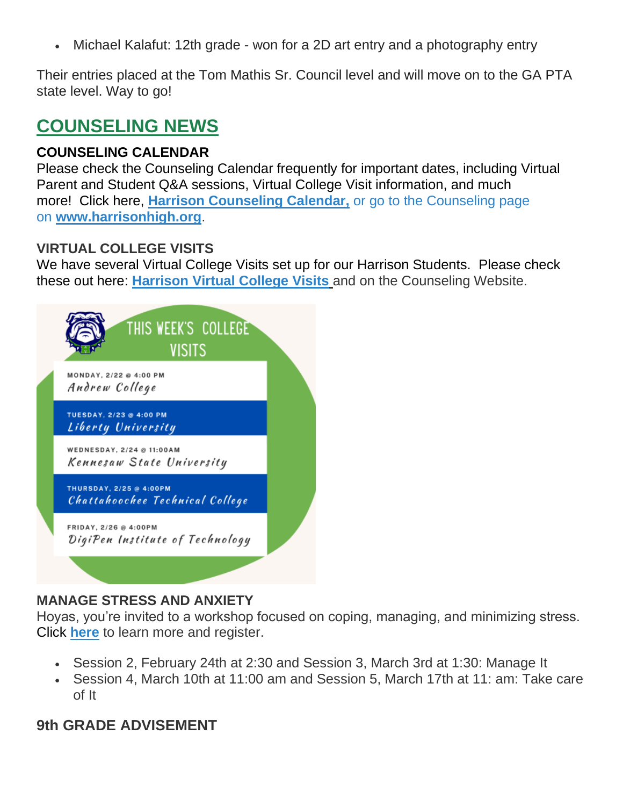• Michael Kalafut: 12th grade - won for a 2D art entry and a photography entry

Their entries placed at the Tom Mathis Sr. Council level and will move on to the GA PTA state level. Way to go!

# **COUNSELING NEWS**

#### **COUNSELING CALENDAR**

Please check the Counseling Calendar frequently for important dates, including Virtual Parent and Student Q&A sessions, Virtual College Visit information, and much more! Click here, **[Harrison Counseling Calendar,](https://calendar.google.com/calendar/embed?src=tasr4q5spailsj1itftjdtn6mk%40group.calendar.google.com&ctz=America%2FNew_York)** or go to the Counseling page on **[www.harrisonhigh.org](http://www.harrisonhigh.org/)**.

#### **VIRTUAL COLLEGE VISITS**

We have several Virtual College Visits set up for our Harrison Students. Please check these out here: **[Harrison Virtual College Visits](https://cobbk12org-my.sharepoint.com/:x:/g/personal/leanna_kor_cobbk12_org/EWP6BGgLdCBOvhv5RDRuCVwBqHA2jXXmnAUqr7hXgxEU7w?rtime=t-E10MJN2Eg)** and on the Counseling Website.

| THIS WEEK'S COLLEGE<br><b>VISITS</b>                       |  |
|------------------------------------------------------------|--|
| MONDAY, 2/22 @ 4:00 PM<br>Andrew College                   |  |
| TUESDAY, 2/23 @ 4:00 PM<br>Liberty University              |  |
| WEDNESDAY, 2/24 @ 11:00AM<br>Kennesaw State University     |  |
| THURSDAY, 2/25 @ 4:00PM<br>Chattahoochee Technical College |  |
| FRIDAY, 2/26 @ 4:00PM<br>DigiPen Institute of Technology   |  |
|                                                            |  |

#### **MANAGE STRESS AND ANXIETY**

Hoyas, you're invited to a workshop focused on coping, managing, and minimizing stress. Click **[here](https://drive.google.com/file/d/1o3Nz5NeyGCzuutzSIJDfvUIp52NC12wU/view?usp=sharing)** to learn more and register.

- Session 2, February 24th at 2:30 and Session 3, March 3rd at 1:30: Manage It
- Session 4, March 10th at 11:00 am and Session 5, March 17th at 11: am: Take care of It

#### **9th GRADE ADVISEMENT**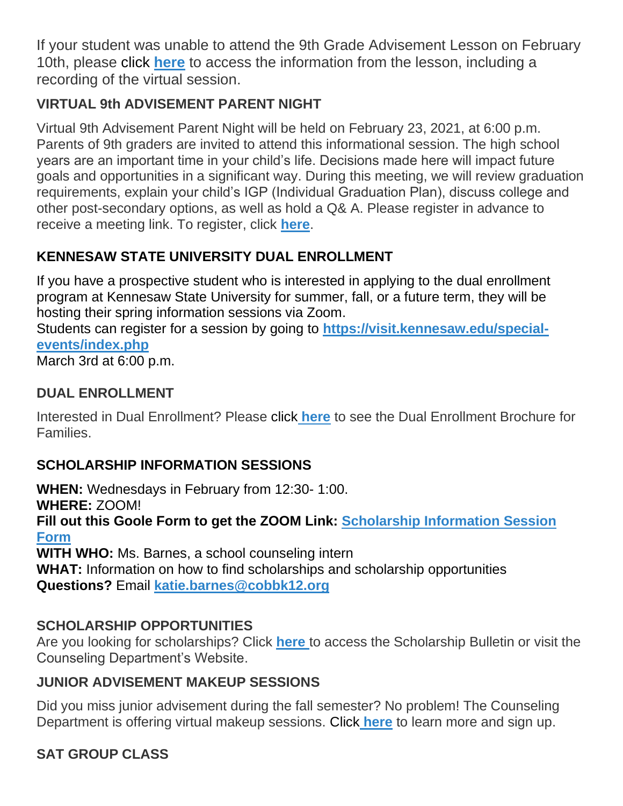If your student was unable to attend the 9th Grade Advisement Lesson on February 10th, please click **[here](https://drive.google.com/file/d/1e5gb4lfxV-gHTyFW7zVGnNecb-GtNxVl/view)** to access the information from the lesson, including a recording of the virtual session.

# **VIRTUAL 9th ADVISEMENT PARENT NIGHT**

Virtual 9th Advisement Parent Night will be held on February 23, 2021, at 6:00 p.m. Parents of 9th graders are invited to attend this informational session. The high school years are an important time in your child's life. Decisions made here will impact future goals and opportunities in a significant way. During this meeting, we will review graduation requirements, explain your child's IGP (Individual Graduation Plan), discuss college and other post-secondary options, as well as hold a Q& A. Please register in advance to receive a meeting link. To register, click **[here](https://forms.office.com/Pages/ResponsePage.aspx?id=-x3OL5-ROEmquMR_D8kYLWW85uR8aLBInItPvCDivwpUN1JZTllNODRMTEpLTTZJVVlGWkJSM0ZYUy4u)**.

# **KENNESAW STATE UNIVERSITY DUAL ENROLLMENT**

If you have a prospective student who is interested in applying to the dual enrollment program at Kennesaw State University for summer, fall, or a future term, they will be hosting their spring information sessions via Zoom.

Students can register for a session by going to **[https://visit.kennesaw.edu/special](https://visit.kennesaw.edu/special-events/index.php)[events/index.php](https://visit.kennesaw.edu/special-events/index.php)**

March 3rd at 6:00 p.m.

## **DUAL ENROLLMENT**

Interested in Dual Enrollment? Please click **[here](https://drive.google.com/file/d/1eUb30z5062S_msnROjXY7DklX_dBlHKb/view)** to see the Dual Enrollment Brochure for Families.

# **SCHOLARSHIP INFORMATION SESSIONS**

**WHEN:** Wednesdays in February from 12:30- 1:00. **WHERE:** ZOOM! **Fill out this Goole Form to get the ZOOM Link: [Scholarship Information Session](https://forms.gle/fbX6yjL1ikr9x4Ro8)  [Form](https://forms.gle/fbX6yjL1ikr9x4Ro8) WITH WHO:** Ms. Barnes, a school counseling intern **WHAT:** Information on how to find scholarships and scholarship opportunities

**Questions?** Email **[katie.barnes@cobbk12.org](mailto:katie.barnes@cobbk12.org)**

## **SCHOLARSHIP OPPORTUNITIES**

Are you looking for scholarships? Click **[here](https://tb2cdn.schoolwebmasters.com/accnt_42975/site_42976/Documents/Scholarship-Bulletin.pdf)** to access the Scholarship Bulletin or visit the Counseling Department's Website.

## **JUNIOR ADVISEMENT MAKEUP SESSIONS**

Did you miss junior advisement during the fall semester? No problem! The Counseling Department is offering virtual makeup sessions. Click **[here](https://drive.google.com/file/d/1EEkwRe9K_vRDSs893d6iQK9uTLrFQ0H0/view)** to learn more and sign up.

# **SAT GROUP CLASS**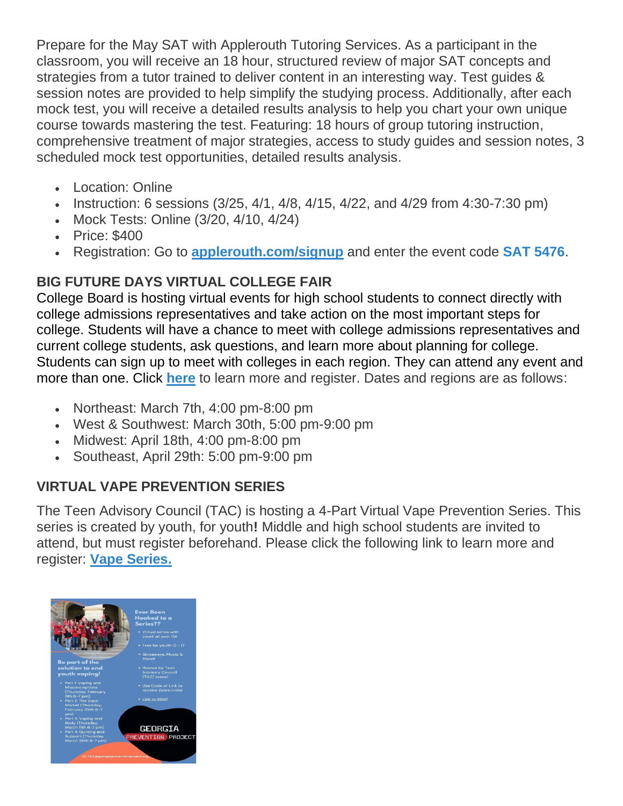Prepare for the May SAT with Applerouth Tutoring Services. As a participant in the classroom, you will receive an 18 hour, structured review of major SAT concepts and strategies from a tutor trained to deliver content in an interesting way. Test guides & session notes are provided to help simplify the studying process. Additionally, after each mock test, you will receive a detailed results analysis to help you chart your own unique course towards mastering the test. Featuring: 18 hours of group tutoring instruction, comprehensive treatment of major strategies, access to study guides and session notes, 3 scheduled mock test opportunities, detailed results analysis.

- Location: Online
- Instruction: 6 sessions (3/25, 4/1, 4/8, 4/15, 4/22, and 4/29 from 4:30-7:30 pm)
- Mock Tests: Online (3/20, 4/10, 4/24)
- Price: \$400
- Registration: Go to **[applerouth.com/signup](http://www.applerouth.com/signup)** and enter the event code **SAT 5476**.

# **BIG FUTURE DAYS VIRTUAL COLLEGE FAIR**

College Board is hosting virtual events for high school students to connect directly with college admissions representatives and take action on the most important steps for college. Students will have a chance to meet with college admissions representatives and current college students, ask questions, and learn more about planning for college. Students can sign up to meet with colleges in each region. They can attend any event and more than one. Click **[here](https://pages.collegeboard.org/big-future-days?SFMC_cid=EM438518-&rid=47761625)** to learn more and register. Dates and regions are as follows:

- Northeast: March 7th, 4:00 pm-8:00 pm
- West & Southwest: March 30th, 5:00 pm-9:00 pm
- Midwest: April 18th, 4:00 pm-8:00 pm
- Southeast, April 29th: 5:00 pm-9:00 pm

# **VIRTUAL VAPE PREVENTION SERIES**

The Teen Advisory Council (TAC) is hosting a 4-Part Virtual Vape Prevention Series. This series is created by youth, for youth**!** Middle and high school students are invited to attend, but must register beforehand. Please click the following link to learn more and register: **[Vape Series.](https://nam11.safelinks.protection.outlook.com/?url=https%3A%2F%2Fforms.gle%2FWRAAvWR1qZj7L8NSA&data=04%7C01%7CRobert.Figueroa%40cobbk12.org%7C99fcf51e9cae437b238c08d8cd27b594%7C2fce1dfb919f4938aab8c47f0fc9182d%7C0%7C0%7C637484917737577401%7CUnknown%7CTWFpbGZsb3d8eyJWIjoiMC4wLjAwMDAiLCJQIjoiV2luMzIiLCJBTiI6Ik1haWwiLCJXVCI6Mn0%3D%7C2000&sdata=RPeYVvZqj0Z6mwGYu059uen5MbNSvIynXdISGU1O2Eg%3D&reserved=0)**

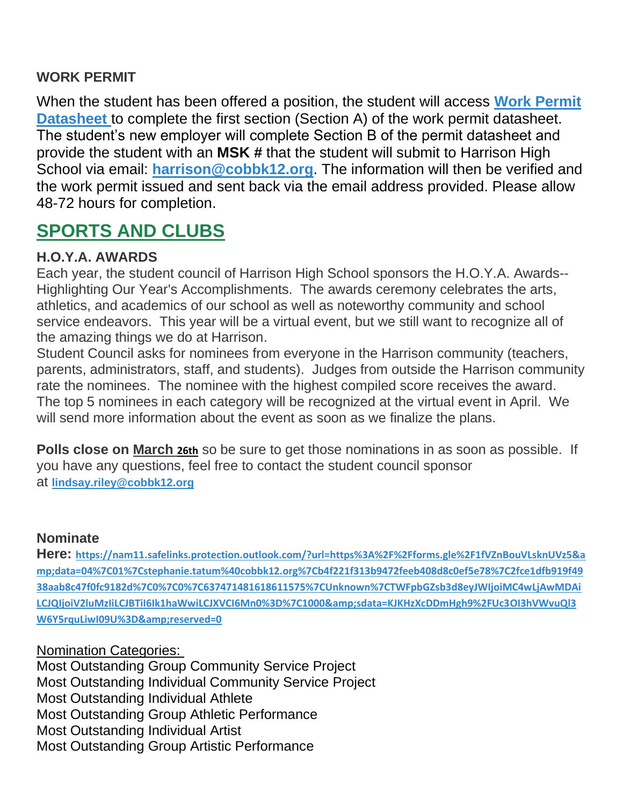#### **WORK PERMIT**

When the student has been offered a position, the student will access **[Work Permit](https://nam03.safelinks.protection.outlook.com/?url=https%3A%2F%2Fwww.dol.state.ga.us%2FWS4-MW5%2Fcics.jsp%3FTRANSID%3DWP17%26FRMNAME%3DWP17&data=02%7C01%7CAudra.Skalski%40cobbk12.org%7C856357e8e49d4d50041d08d80cb84415%7C2fce1dfb919f4938aab8c47f0fc9182d%7C0%7C1%7C637273332845584845&sdata=sYK4oD2g8pZe2iY4gQXjSHJq%2FGMstnRRcs7%2F3kUZoWc%3D&reserved=0)  [Datasheet](https://nam03.safelinks.protection.outlook.com/?url=https%3A%2F%2Fwww.dol.state.ga.us%2FWS4-MW5%2Fcics.jsp%3FTRANSID%3DWP17%26FRMNAME%3DWP17&data=02%7C01%7CAudra.Skalski%40cobbk12.org%7C856357e8e49d4d50041d08d80cb84415%7C2fce1dfb919f4938aab8c47f0fc9182d%7C0%7C1%7C637273332845584845&sdata=sYK4oD2g8pZe2iY4gQXjSHJq%2FGMstnRRcs7%2F3kUZoWc%3D&reserved=0)** to complete the first section (Section A) of the work permit datasheet. The student's new employer will complete Section B of the permit datasheet and provide the student with an **MSK #** that the student will submit to Harrison High School via email: **[harrison@cobbk12.org](mailto:harrison@cobbk12.org)**. The information will then be verified and the work permit issued and sent back via the email address provided. Please allow 48-72 hours for completion.

# **SPORTS AND CLUBS**

#### **H.O.Y.A. AWARDS**

Each year, the student council of Harrison High School sponsors the H.O.Y.A. Awards-- Highlighting Our Year's Accomplishments. The awards ceremony celebrates the arts, athletics, and academics of our school as well as noteworthy community and school service endeavors. This year will be a virtual event, but we still want to recognize all of the amazing things we do at Harrison.

Student Council asks for nominees from everyone in the Harrison community (teachers, parents, administrators, staff, and students). Judges from outside the Harrison community rate the nominees. The nominee with the highest compiled score receives the award. The top 5 nominees in each category will be recognized at the virtual event in April. We will send more information about the event as soon as we finalize the plans.

**Polls close on March 26th** so be sure to get those nominations in as soon as possible. If you have any questions, feel free to contact the student council sponsor at **[lindsay.riley@cobbk12.org](mailto:lindsay.riley@cobbk12.org)**

#### **Nominate**

**Here: [https://nam11.safelinks.protection.outlook.com/?url=https%3A%2F%2Fforms.gle%2F1fVZnBouVLsknUVz5&a](https://nam11.safelinks.protection.outlook.com/?url=https%3A%2F%2Fforms.gle%2F1fVZnBouVLsknUVz5&data=04%7C01%7Cstephanie.tatum%40cobbk12.org%7Cb4f221f313b9472feeb408d8c0ef5e78%7C2fce1dfb919f4938aab8c47f0fc9182d%7C0%7C0%7C637471481618611575%7CUnknown%7CTWFpbGZsb3d8eyJWIjoiMC4wLjAwMDAiLCJQIjoiV2luMzIiLCJBTiI6Ik1haWwiLCJXVCI6Mn0%3D%7C1000&sdata=KJKHzXcDDmHgh9%2FUc3OI3hVWvuQl3W6Y5rquLiwI09U%3D&reserved=0) [mp;data=04%7C01%7Cstephanie.tatum%40cobbk12.org%7Cb4f221f313b9472feeb408d8c0ef5e78%7C2fce1dfb919f49](https://nam11.safelinks.protection.outlook.com/?url=https%3A%2F%2Fforms.gle%2F1fVZnBouVLsknUVz5&data=04%7C01%7Cstephanie.tatum%40cobbk12.org%7Cb4f221f313b9472feeb408d8c0ef5e78%7C2fce1dfb919f4938aab8c47f0fc9182d%7C0%7C0%7C637471481618611575%7CUnknown%7CTWFpbGZsb3d8eyJWIjoiMC4wLjAwMDAiLCJQIjoiV2luMzIiLCJBTiI6Ik1haWwiLCJXVCI6Mn0%3D%7C1000&sdata=KJKHzXcDDmHgh9%2FUc3OI3hVWvuQl3W6Y5rquLiwI09U%3D&reserved=0) [38aab8c47f0fc9182d%7C0%7C0%7C637471481618611575%7CUnknown%7CTWFpbGZsb3d8eyJWIjoiMC4wLjAwMDAi](https://nam11.safelinks.protection.outlook.com/?url=https%3A%2F%2Fforms.gle%2F1fVZnBouVLsknUVz5&data=04%7C01%7Cstephanie.tatum%40cobbk12.org%7Cb4f221f313b9472feeb408d8c0ef5e78%7C2fce1dfb919f4938aab8c47f0fc9182d%7C0%7C0%7C637471481618611575%7CUnknown%7CTWFpbGZsb3d8eyJWIjoiMC4wLjAwMDAiLCJQIjoiV2luMzIiLCJBTiI6Ik1haWwiLCJXVCI6Mn0%3D%7C1000&sdata=KJKHzXcDDmHgh9%2FUc3OI3hVWvuQl3W6Y5rquLiwI09U%3D&reserved=0)** [LCJQIjoiV2luMzIiLCJBTiI6Ik1haWwiLCJXVCI6Mn0%3D%7C1000&sdata=KJKHzXcDDmHgh9%2FUc3OI3hVWvuQl3](https://nam11.safelinks.protection.outlook.com/?url=https%3A%2F%2Fforms.gle%2F1fVZnBouVLsknUVz5&data=04%7C01%7Cstephanie.tatum%40cobbk12.org%7Cb4f221f313b9472feeb408d8c0ef5e78%7C2fce1dfb919f4938aab8c47f0fc9182d%7C0%7C0%7C637471481618611575%7CUnknown%7CTWFpbGZsb3d8eyJWIjoiMC4wLjAwMDAiLCJQIjoiV2luMzIiLCJBTiI6Ik1haWwiLCJXVCI6Mn0%3D%7C1000&sdata=KJKHzXcDDmHgh9%2FUc3OI3hVWvuQl3W6Y5rquLiwI09U%3D&reserved=0) **[W6Y5rquLiwI09U%3D&reserved=0](https://nam11.safelinks.protection.outlook.com/?url=https%3A%2F%2Fforms.gle%2F1fVZnBouVLsknUVz5&data=04%7C01%7Cstephanie.tatum%40cobbk12.org%7Cb4f221f313b9472feeb408d8c0ef5e78%7C2fce1dfb919f4938aab8c47f0fc9182d%7C0%7C0%7C637471481618611575%7CUnknown%7CTWFpbGZsb3d8eyJWIjoiMC4wLjAwMDAiLCJQIjoiV2luMzIiLCJBTiI6Ik1haWwiLCJXVCI6Mn0%3D%7C1000&sdata=KJKHzXcDDmHgh9%2FUc3OI3hVWvuQl3W6Y5rquLiwI09U%3D&reserved=0)** 

#### Nomination Categories:

Most Outstanding Group Community Service Project Most Outstanding Individual Community Service Project Most Outstanding Individual Athlete Most Outstanding Group Athletic Performance Most Outstanding Individual Artist Most Outstanding Group Artistic Performance